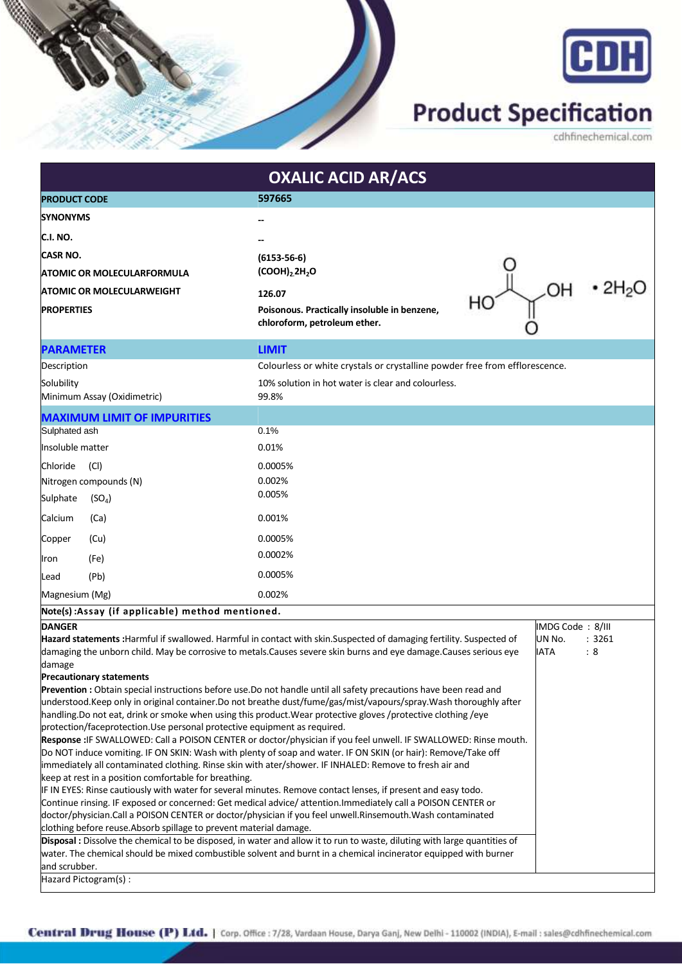



## **Product Specification**

cdhfinechemical.com

| <b>OXALIC ACID AR/ACS</b>                                                                                                                                                                                                         |                                    |                                                                                                                                                                                                                                             |                       |        |
|-----------------------------------------------------------------------------------------------------------------------------------------------------------------------------------------------------------------------------------|------------------------------------|---------------------------------------------------------------------------------------------------------------------------------------------------------------------------------------------------------------------------------------------|-----------------------|--------|
| <b>PRODUCT CODE</b>                                                                                                                                                                                                               |                                    | 597665                                                                                                                                                                                                                                      |                       |        |
| <b>ISYNONYMS</b>                                                                                                                                                                                                                  |                                    |                                                                                                                                                                                                                                             |                       |        |
| C.I. NO.                                                                                                                                                                                                                          |                                    |                                                                                                                                                                                                                                             |                       |        |
|                                                                                                                                                                                                                                   |                                    |                                                                                                                                                                                                                                             |                       |        |
| ICASR NO.                                                                                                                                                                                                                         |                                    | $(6153 - 56 - 6)$                                                                                                                                                                                                                           |                       |        |
| <b>ATOMIC OR MOLECULARFORMULA</b>                                                                                                                                                                                                 |                                    | (COOH) <sub>2</sub> 2H <sub>2</sub> O                                                                                                                                                                                                       |                       |        |
| <b>ATOMIC OR MOLECULARWEIGHT</b>                                                                                                                                                                                                  |                                    | 126.07                                                                                                                                                                                                                                      | OН                    |        |
| <b>PROPERTIES</b>                                                                                                                                                                                                                 |                                    | HC<br>Poisonous. Practically insoluble in benzene,<br>chloroform, petroleum ether.                                                                                                                                                          |                       |        |
| <b>PARAMETER</b>                                                                                                                                                                                                                  |                                    | <b>LIMIT</b>                                                                                                                                                                                                                                |                       |        |
| Description                                                                                                                                                                                                                       |                                    | Colourless or white crystals or crystalline powder free from efflorescence.                                                                                                                                                                 |                       |        |
| Solubility<br>Minimum Assay (Oxidimetric)                                                                                                                                                                                         |                                    | 10% solution in hot water is clear and colourless.<br>99.8%                                                                                                                                                                                 |                       |        |
|                                                                                                                                                                                                                                   | <b>MAXIMUM LIMIT OF IMPURITIES</b> |                                                                                                                                                                                                                                             |                       |        |
| Sulphated ash                                                                                                                                                                                                                     |                                    | 0.1%                                                                                                                                                                                                                                        |                       |        |
| Insoluble matter                                                                                                                                                                                                                  |                                    | 0.01%                                                                                                                                                                                                                                       |                       |        |
| Chloride                                                                                                                                                                                                                          | (Cl)                               | 0.0005%                                                                                                                                                                                                                                     |                       |        |
|                                                                                                                                                                                                                                   | Nitrogen compounds (N)             | 0.002%                                                                                                                                                                                                                                      |                       |        |
| Sulphate                                                                                                                                                                                                                          | (SO <sub>4</sub> )                 | 0.005%                                                                                                                                                                                                                                      |                       |        |
| Calcium                                                                                                                                                                                                                           | (Ca)                               | 0.001%                                                                                                                                                                                                                                      |                       |        |
| Copper                                                                                                                                                                                                                            | (Cu)                               | 0.0005%                                                                                                                                                                                                                                     |                       |        |
|                                                                                                                                                                                                                                   |                                    | 0.0002%                                                                                                                                                                                                                                     |                       |        |
| Iron                                                                                                                                                                                                                              | (Fe)                               | 0.0005%                                                                                                                                                                                                                                     |                       |        |
| Lead                                                                                                                                                                                                                              | (Pb)                               |                                                                                                                                                                                                                                             |                       |        |
| Magnesium (Mg)                                                                                                                                                                                                                    |                                    | 0.002%                                                                                                                                                                                                                                      |                       |        |
| Note(s): Assay (if applicable) method mentioned.                                                                                                                                                                                  |                                    |                                                                                                                                                                                                                                             |                       |        |
| <b>DANGER</b>                                                                                                                                                                                                                     |                                    |                                                                                                                                                                                                                                             | IMDG Code: 8/III      | : 3261 |
|                                                                                                                                                                                                                                   |                                    | Hazard statements : Harmful if swallowed. Harmful in contact with skin. Suspected of damaging fertility. Suspected of<br>damaging the unborn child. May be corrosive to metals. Causes severe skin burns and eye damage. Causes serious eye | UN No.<br><b>IATA</b> | :8     |
| damage                                                                                                                                                                                                                            |                                    |                                                                                                                                                                                                                                             |                       |        |
| <b>Precautionary statements</b>                                                                                                                                                                                                   |                                    |                                                                                                                                                                                                                                             |                       |        |
| Prevention : Obtain special instructions before use. Do not handle until all safety precautions have been read and                                                                                                                |                                    |                                                                                                                                                                                                                                             |                       |        |
| understood.Keep only in original container.Do not breathe dust/fume/gas/mist/vapours/spray.Wash thoroughly after                                                                                                                  |                                    |                                                                                                                                                                                                                                             |                       |        |
| handling. Do not eat, drink or smoke when using this product. Wear protective gloves /protective clothing /eye<br>protection/faceprotection. Use personal protective equipment as required.                                       |                                    |                                                                                                                                                                                                                                             |                       |        |
|                                                                                                                                                                                                                                   |                                    |                                                                                                                                                                                                                                             |                       |        |
| Response : IF SWALLOWED: Call a POISON CENTER or doctor/physician if you feel unwell. IF SWALLOWED: Rinse mouth.<br>Do NOT induce vomiting. IF ON SKIN: Wash with plenty of soap and water. IF ON SKIN (or hair): Remove/Take off |                                    |                                                                                                                                                                                                                                             |                       |        |
| immediately all contaminated clothing. Rinse skin with ater/shower. IF INHALED: Remove to fresh air and                                                                                                                           |                                    |                                                                                                                                                                                                                                             |                       |        |
| keep at rest in a position comfortable for breathing.                                                                                                                                                                             |                                    |                                                                                                                                                                                                                                             |                       |        |
| IF IN EYES: Rinse cautiously with water for several minutes. Remove contact lenses, if present and easy todo.                                                                                                                     |                                    |                                                                                                                                                                                                                                             |                       |        |
| Continue rinsing. IF exposed or concerned: Get medical advice/attention.Immediately call a POISON CENTER or                                                                                                                       |                                    |                                                                                                                                                                                                                                             |                       |        |
| doctor/physician.Call a POISON CENTER or doctor/physician if you feel unwell.Rinsemouth.Wash contaminated<br>clothing before reuse. Absorb spillage to prevent material damage.                                                   |                                    |                                                                                                                                                                                                                                             |                       |        |
| Disposal : Dissolve the chemical to be disposed, in water and allow it to run to waste, diluting with large quantities of                                                                                                         |                                    |                                                                                                                                                                                                                                             |                       |        |
| water. The chemical should be mixed combustible solvent and burnt in a chemical incinerator equipped with burner                                                                                                                  |                                    |                                                                                                                                                                                                                                             |                       |        |
| and scrubber.                                                                                                                                                                                                                     |                                    |                                                                                                                                                                                                                                             |                       |        |
| Hazard Pictogram(s):                                                                                                                                                                                                              |                                    |                                                                                                                                                                                                                                             |                       |        |